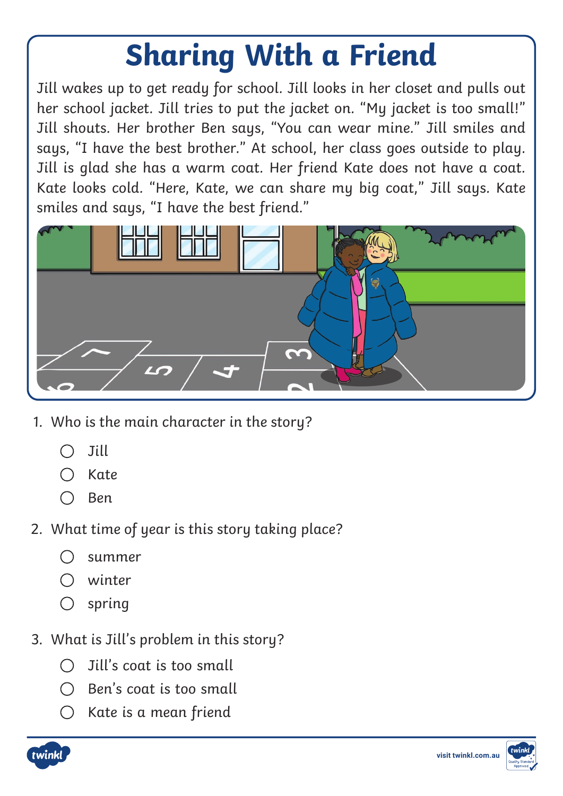## *Sharing With a Friend*

*Jill wakes up to get ready for school. Jill looks in her closet and pulls out her school jacket. Jill tries to put the jacket on. "My jacket is too small!" Jill shouts. Her brother Ben says, "You can wear mine." Jill smiles and says, "I have the best brother." At school, her class goes outside to play. Jill is glad she has a warm coat. Her friend Kate does not have a coat. Kate looks cold. "Here, Kate, we can share my big coat," Jill says. Kate smiles and says, "I have the best friend."*



- *1. Who is the main character in the story?*
	- *Jill*  $\bigcap$
	- *Kate*
	- *Ben*
- *2. What time of year is this story taking place?*
	- $\bigcap$ *summer*
	- *winter*
	- *spring*
- *3. What is Jill's problem in this story?*
	- *Jill's coat is too small*
	- *Ben's coat is too small*
	- *Kate is a mean friend*